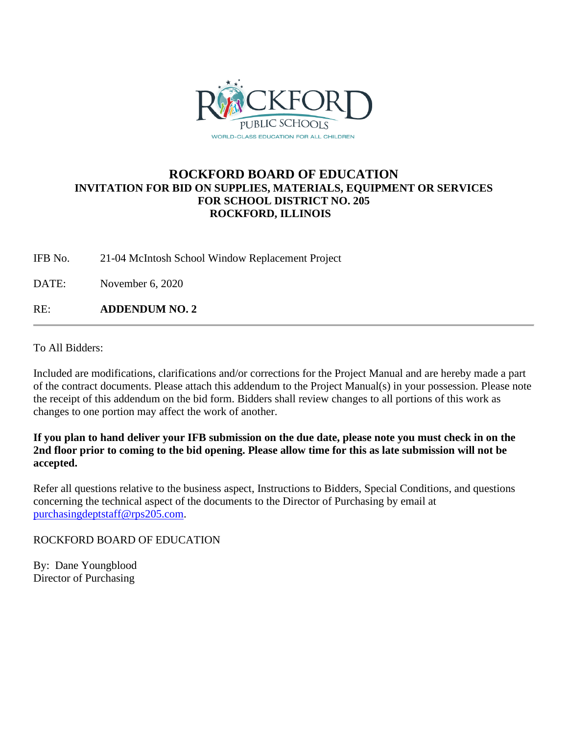

### **ROCKFORD BOARD OF EDUCATION INVITATION FOR BID ON SUPPLIES, MATERIALS, EQUIPMENT OR SERVICES FOR SCHOOL DISTRICT NO. 205 ROCKFORD, ILLINOIS**

IFB No. 21-04 McIntosh School Window Replacement Project

DATE: November 6, 2020

RE: **ADDENDUM NO. 2**

To All Bidders:

Included are modifications, clarifications and/or corrections for the Project Manual and are hereby made a part of the contract documents. Please attach this addendum to the Project Manual(s) in your possession. Please note the receipt of this addendum on the bid form. Bidders shall review changes to all portions of this work as changes to one portion may affect the work of another.

**If you plan to hand deliver your IFB submission on the due date, please note you must check in on the 2nd floor prior to coming to the bid opening. Please allow time for this as late submission will not be accepted.**

Refer all questions relative to the business aspect, Instructions to Bidders, Special Conditions, and questions concerning the technical aspect of the documents to the Director of Purchasing by email at [purchasingdeptstaff@rps205.com.](mailto:purchasingdeptstaff@rps205.com)

ROCKFORD BOARD OF EDUCATION

By: Dane Youngblood Director of Purchasing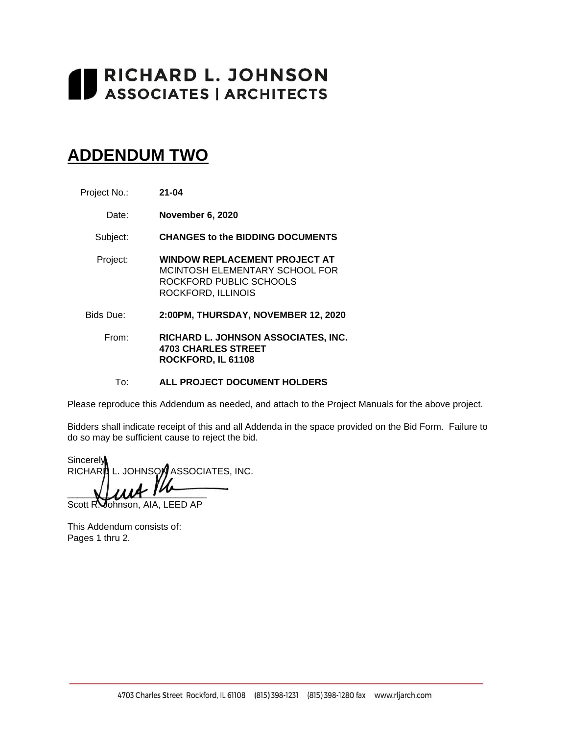# RICHARD L. JOHNSON **ASSOCIATES | ARCHITECTS**

## **ADDENDUM TWO**

- Project No.: **21-04**
	- Date: **November 6, 2020**

Subject: **CHANGES to the BIDDING DOCUMENTS**

- Project: **WINDOW REPLACEMENT PROJECT AT** MCINTOSH ELEMENTARY SCHOOL FOR ROCKFORD PUBLIC SCHOOLS ROCKFORD, ILLINOIS
- Bids Due: **2:00PM, THURSDAY, NOVEMBER 12, 2020**
	- From: **RICHARD L. JOHNSON ASSOCIATES, INC. 4703 CHARLES STREET ROCKFORD, IL 61108**

To: **ALL PROJECT DOCUMENT HOLDERS**

Please reproduce this Addendum as needed, and attach to the Project Manuals for the above project.

Bidders shall indicate receipt of this and all Addenda in the space provided on the Bid Form. Failure to do so may be sufficient cause to reject the bid.

**Sincerely** RICHARD L. JOHNSON ASSOCIATES, INC.  $\blacksquare$ 

Scott R. Johnson, AIA, LEED AP

This Addendum consists of: Pages 1 thru 2.